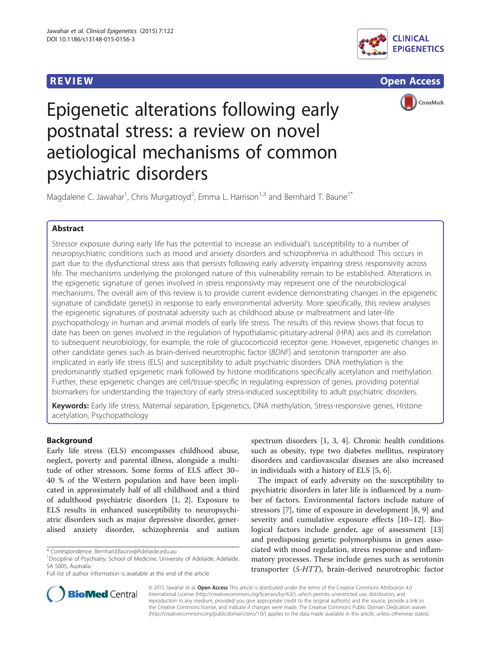

**REVIEW CONSTRUCTION CONSTRUCTION CONSTRUCTS** 



# Epigenetic alterations following early postnatal stress: a review on novel aetiological mechanisms of common psychiatric disorders

Magdalene C. Jawahar<sup>1</sup>, Chris Murgatroyd<sup>2</sup>, Emma L. Harrison<sup>1,3</sup> and Bernhard T. Baune<sup>1\*</sup>

# Abstract

Stressor exposure during early life has the potential to increase an individual's susceptibility to a number of neuropsychiatric conditions such as mood and anxiety disorders and schizophrenia in adulthood. This occurs in part due to the dysfunctional stress axis that persists following early adversity impairing stress responsivity across life. The mechanisms underlying the prolonged nature of this vulnerability remain to be established. Alterations in the epigenetic signature of genes involved in stress responsivity may represent one of the neurobiological mechanisms. The overall aim of this review is to provide current evidence demonstrating changes in the epigenetic signature of candidate gene(s) in response to early environmental adversity. More specifically, this review analyses the epigenetic signatures of postnatal adversity such as childhood abuse or maltreatment and later-life psychopathology in human and animal models of early life stress. The results of this review shows that focus to date has been on genes involved in the regulation of hypothalamic-pituitary-adrenal (HPA) axis and its correlation to subsequent neurobiology, for example, the role of glucocorticoid receptor gene. However, epigenetic changes in other candidate genes such as brain-derived neurotrophic factor (BDNF) and serotonin transporter are also implicated in early life stress (ELS) and susceptibility to adult psychiatric disorders. DNA methylation is the predominantly studied epigenetic mark followed by histone modifications specifically acetylation and methylation. Further, these epigenetic changes are cell/tissue-specific in regulating expression of genes, providing potential biomarkers for understanding the trajectory of early stress-induced susceptibility to adult psychiatric disorders.

Keywords: Early life stress, Maternal separation, Epigenetics, DNA methylation, Stress-responsive genes, Histone acetylation, Psychopathology

# Background

Early life stress (ELS) encompasses childhood abuse, neglect, poverty and parental illness, alongside a multitude of other stressors. Some forms of ELS affect 30– 40 % of the Western population and have been implicated in approximately half of all childhood and a third of adulthood psychiatric disorders [\[1](#page-10-0), [2\]](#page-10-0). Exposure to ELS results in enhanced susceptibility to neuropsychiatric disorders such as major depressive disorder, generalised anxiety disorder, schizophrenia and autism

spectrum disorders [\[1, 3](#page-10-0), [4\]](#page-10-0). Chronic health conditions such as obesity, type two diabetes mellitus, respiratory disorders and cardiovascular diseases are also increased in individuals with a history of ELS [[5, 6\]](#page-10-0).

The impact of early adversity on the susceptibility to psychiatric disorders in later life is influenced by a number of factors. Environmental factors include nature of stressors [\[7](#page-10-0)], time of exposure in development [\[8](#page-10-0), [9](#page-10-0)] and severity and cumulative exposure effects [[10](#page-10-0)–[12](#page-10-0)]. Biological factors include gender, age of assessment [[13](#page-10-0)] and predisposing genetic polymorphisms in genes associated with mood regulation, stress response and inflammatory processes. These include genes such as serotonin transporter (5-HTT), brain-derived neurotrophic factor



© 2015 Jawahar et al. Open Access This article is distributed under the terms of the Creative Commons Attribution 4.0 International License [\(http://creativecommons.org/licenses/by/4.0/](http://creativecommons.org/licenses/by/4.0/)), which permits unrestricted use, distribution, and reproduction in any medium, provided you give appropriate credit to the original author(s) and the source, provide a link to the Creative Commons license, and indicate if changes were made. The Creative Commons Public Domain Dedication waiver [\(http://creativecommons.org/publicdomain/zero/1.0/](http://creativecommons.org/publicdomain/zero/1.0/)) applies to the data made available in this article, unless otherwise stated.

<sup>\*</sup> Correspondence: [Bernhard.Baune@Adelaide.edu.au](mailto:Bernhard.Baune@Adelaide.edu.au) <sup>1</sup>

<sup>&</sup>lt;sup>1</sup> Discipline of Psychiatry, School of Medicine, University of Adelaide, Adelaide, SA 5005, Australia

Full list of author information is available at the end of the article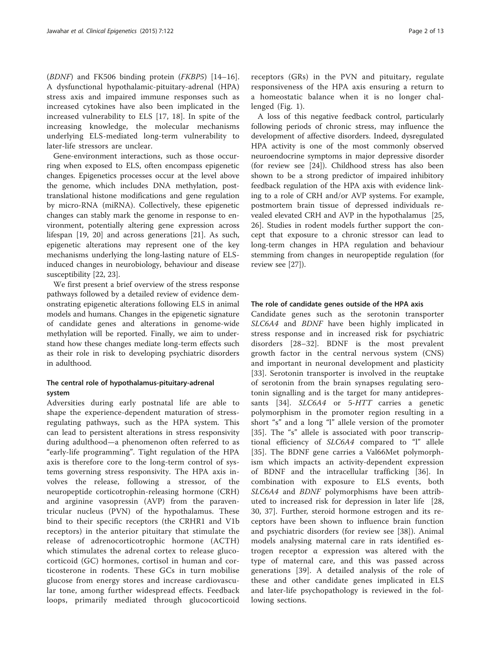(BDNF) and FK506 binding protein (FKBP5) [\[14](#page-10-0)–[16](#page-10-0)]. A dysfunctional hypothalamic-pituitary-adrenal (HPA) stress axis and impaired immune responses such as increased cytokines have also been implicated in the increased vulnerability to ELS [\[17](#page-10-0), [18\]](#page-11-0). In spite of the increasing knowledge, the molecular mechanisms underlying ELS-mediated long-term vulnerability to later-life stressors are unclear.

Gene-environment interactions, such as those occurring when exposed to ELS, often encompass epigenetic changes. Epigenetics processes occur at the level above the genome, which includes DNA methylation, posttranslational histone modifications and gene regulation by micro-RNA (miRNA). Collectively, these epigenetic changes can stably mark the genome in response to environment, potentially altering gene expression across lifespan [[19, 20](#page-11-0)] and across generations [\[21](#page-11-0)]. As such, epigenetic alterations may represent one of the key mechanisms underlying the long-lasting nature of ELSinduced changes in neurobiology, behaviour and disease susceptibility [[22, 23](#page-11-0)].

We first present a brief overview of the stress response pathways followed by a detailed review of evidence demonstrating epigenetic alterations following ELS in animal models and humans. Changes in the epigenetic signature of candidate genes and alterations in genome-wide methylation will be reported. Finally, we aim to understand how these changes mediate long-term effects such as their role in risk to developing psychiatric disorders in adulthood.

# The central role of hypothalamus-pituitary-adrenal system

Adversities during early postnatal life are able to shape the experience-dependent maturation of stressregulating pathways, such as the HPA system. This can lead to persistent alterations in stress responsivity during adulthood—a phenomenon often referred to as "early-life programming". Tight regulation of the HPA axis is therefore core to the long-term control of systems governing stress responsivity. The HPA axis involves the release, following a stressor, of the neuropeptide corticotrophin-releasing hormone (CRH) and arginine vasopressin (AVP) from the paraventricular nucleus (PVN) of the hypothalamus. These bind to their specific receptors (the CRHR1 and V1b receptors) in the anterior pituitary that stimulate the release of adrenocorticotrophic hormone (ACTH) which stimulates the adrenal cortex to release glucocorticoid (GC) hormones, cortisol in human and corticosterone in rodents. These GCs in turn mobilise glucose from energy stores and increase cardiovascular tone, among further widespread effects. Feedback loops, primarily mediated through glucocorticoid

receptors (GRs) in the PVN and pituitary, regulate responsiveness of the HPA axis ensuring a return to a homeostatic balance when it is no longer challenged (Fig. [1](#page-2-0)).

A loss of this negative feedback control, particularly following periods of chronic stress, may influence the development of affective disorders. Indeed, dysregulated HPA activity is one of the most commonly observed neuroendocrine symptoms in major depressive disorder (for review see [\[24](#page-11-0)]). Childhood stress has also been shown to be a strong predictor of impaired inhibitory feedback regulation of the HPA axis with evidence linking to a role of CRH and/or AVP systems. For example, postmortem brain tissue of depressed individuals revealed elevated CRH and AVP in the hypothalamus [[25](#page-11-0), [26\]](#page-11-0). Studies in rodent models further support the concept that exposure to a chronic stressor can lead to long-term changes in HPA regulation and behaviour stemming from changes in neuropeptide regulation (for review see [[27\]](#page-11-0)).

#### The role of candidate genes outside of the HPA axis

Candidate genes such as the serotonin transporter SLC6A4 and BDNF have been highly implicated in stress response and in increased risk for psychiatric disorders [[28](#page-11-0)–[32\]](#page-11-0). BDNF is the most prevalent growth factor in the central nervous system (CNS) and important in neuronal development and plasticity [[33\]](#page-11-0). Serotonin transporter is involved in the reuptake of serotonin from the brain synapses regulating serotonin signalling and is the target for many antidepres-sants [[34](#page-11-0)]. SLC6A4 or 5-HTT carries a genetic polymorphism in the promoter region resulting in a short "s" and a long "l" allele version of the promoter [[35\]](#page-11-0). The "s" allele is associated with poor transcriptional efficiency of SLC6A4 compared to "l" allele [[35\]](#page-11-0). The BDNF gene carries a Val66Met polymorphism which impacts an activity-dependent expression of BDNF and the intracellular trafficking [[36](#page-11-0)]. In combination with exposure to ELS events, both SLC6A4 and BDNF polymorphisms have been attributed to increased risk for depression in later life [\[28](#page-11-0), [30, 37](#page-11-0)]. Further, steroid hormone estrogen and its receptors have been shown to influence brain function and psychiatric disorders (for review see [\[38](#page-11-0)]). Animal models analysing maternal care in rats identified estrogen receptor α expression was altered with the type of maternal care, and this was passed across generations [\[39](#page-11-0)]. A detailed analysis of the role of these and other candidate genes implicated in ELS and later-life psychopathology is reviewed in the following sections.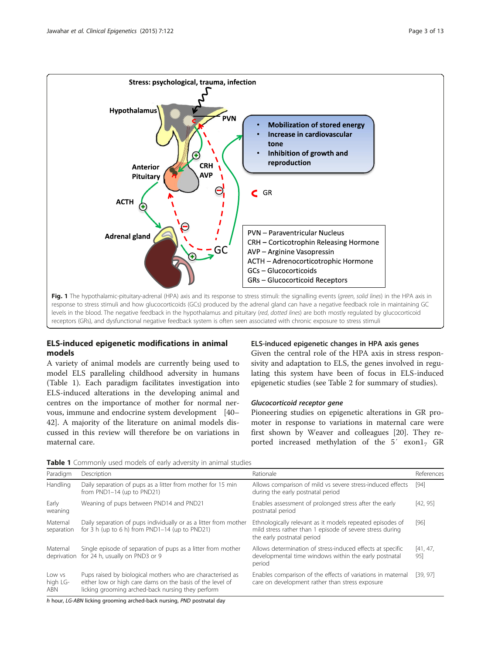<span id="page-2-0"></span>

levels in the blood. The negative feedback in the hypothalamus and pituitary (red, dotted lines) are both mostly regulated by glucocorticoid receptors (GRs), and dysfunctional negative feedback system is often seen associated with chronic exposure to stress stimuli

# ELS-induced epigenetic modifications in animal models

A variety of animal models are currently being used to model ELS paralleling childhood adversity in humans (Table 1). Each paradigm facilitates investigation into ELS-induced alterations in the developing animal and centres on the importance of mother for normal nervous, immune and endocrine system development [[40](#page-11-0)– [42\]](#page-11-0). A majority of the literature on animal models discussed in this review will therefore be on variations in maternal care.

# ELS-induced epigenetic changes in HPA axis genes

Given the central role of the HPA axis in stress responsivity and adaptation to ELS, the genes involved in regulating this system have been of focus in ELS-induced epigenetic studies (see Table [2](#page-3-0) for summary of studies).

# Glucocorticoid receptor gene

Pioneering studies on epigenetic alterations in GR promoter in response to variations in maternal care were first shown by Weaver and colleagues [\[20](#page-11-0)]. They reported increased methylation of the  $5'$  exon $1<sub>7</sub>$  GR

| Paradigm                         | Description                                                                                                                                                                  | Rationale                                                                                                                                            | References      |
|----------------------------------|------------------------------------------------------------------------------------------------------------------------------------------------------------------------------|------------------------------------------------------------------------------------------------------------------------------------------------------|-----------------|
| Handling                         | Daily separation of pups as a litter from mother for 15 min<br>from PND1-14 (up to PND21)                                                                                    | Allows comparison of mild vs severe stress-induced effects<br>during the early postnatal period                                                      | $[94]$          |
| Early<br>weaning                 | Weaning of pups between PND14 and PND21                                                                                                                                      | Enables assessment of prolonged stress after the early<br>postnatal period                                                                           | [42, 95]        |
| Maternal<br>separation           | Daily separation of pups individually or as a litter from mother<br>for $3 h$ (up to $6 h$ ) from PND1-14 (up to PND21)                                                      | Ethnologically relevant as it models repeated episodes of<br>mild stress rather than 1 episode of severe stress during<br>the early postnatal period | $[96]$          |
| Maternal<br>deprivation          | Single episode of separation of pups as a litter from mother<br>for 24 h, usually on PND3 or 9                                                                               | Allows determination of stress-induced effects at specific<br>developmental time windows within the early postnatal<br>period                        | [41, 47]<br>951 |
| Low vs<br>high LG-<br><b>ABN</b> | Pups raised by biological mothers who are characterised as<br>either low or high care dams on the basis of the level of<br>licking grooming arched-back nursing they perform | Enables comparison of the effects of variations in maternal<br>care on development rather than stress exposure                                       | [39, 97]        |

h hour, LG-ABN licking grooming arched-back nursing, PND postnatal day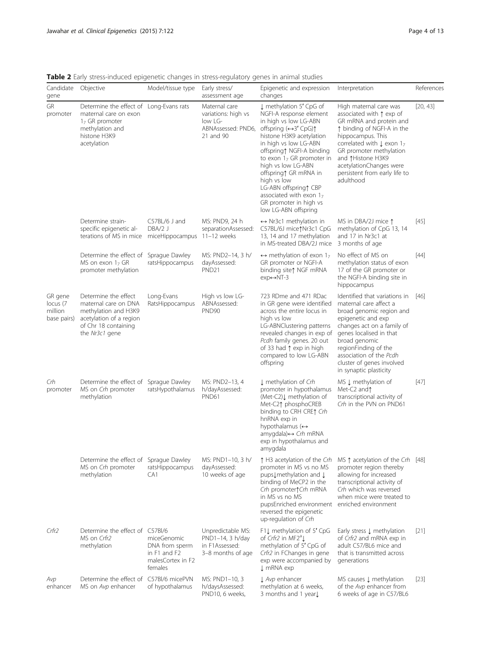<span id="page-3-0"></span>Table 2 Early stress-induced epigenetic changes in stress-regulatory genes in animal studies

|                                               |                                                                                                                                           | enewe enanges in suess regainer,                                              |                                                                                    |                                                                                                                                                                                                                                                                                                                                                                                                                       |                                                                                                                                                                                                                                                                                                                        |            |
|-----------------------------------------------|-------------------------------------------------------------------------------------------------------------------------------------------|-------------------------------------------------------------------------------|------------------------------------------------------------------------------------|-----------------------------------------------------------------------------------------------------------------------------------------------------------------------------------------------------------------------------------------------------------------------------------------------------------------------------------------------------------------------------------------------------------------------|------------------------------------------------------------------------------------------------------------------------------------------------------------------------------------------------------------------------------------------------------------------------------------------------------------------------|------------|
| Candidate<br>gene                             | Objective                                                                                                                                 | Model/tissue type                                                             | Early stress/<br>assessment age                                                    | Epigenetic and expression<br>changes                                                                                                                                                                                                                                                                                                                                                                                  | Interpretation                                                                                                                                                                                                                                                                                                         | References |
| GR<br>promoter                                | Determine the effect of Long-Evans rats<br>maternal care on exon<br>17 GR promoter<br>methylation and<br>histone H3K9<br>acetylation      |                                                                               | Maternal care<br>variations: high vs<br>low LG-<br>ABNAssessed: PND6,<br>21 and 90 | ↓ methylation 5' CpG of<br>NGFI-A response element<br>in high vs low LG-ABN<br>offspring $(\leftrightarrow$ 3' CpG) $\uparrow$<br>histone H3K9 acetylation<br>in high vs low LG-ABN<br>offspring* NGFI-A binding<br>to exon $17$ GR promoter in<br>high vs low LG-ABN<br>offspring† GR mRNA in<br>high vs low<br>LG-ABN offspring† CBP<br>associated with exon $17$<br>GR promoter in high vs<br>low LG-ABN offspring | High maternal care was<br>associated with $\uparrow$ exp of<br>GR mRNA and protein and<br>↑ binding of NGFI-A in the<br>hippocampus. This<br>correlated with $\downarrow$ exon 1 <sub>7</sub><br>GR promoter methylation<br>and 1Histone H3K9<br>acetylationChanges were<br>persistent from early life to<br>adulthood | [20, 43]   |
|                                               | Determine strain-<br>specific epigenetic al-<br>terations of MS in mice                                                                   | C57BL/6 J and<br>DBA/2 J<br>miceHippocampus 11-12 weeks                       | MS: PND9, 24 h<br>separationAssessed:                                              | $\leftrightarrow$ Nr3c1 methylation in<br>C57BL/6J mice <sup>1</sup> Nr3c1 CpG<br>13, 14 and 17 methylation<br>in MS-treated DBA/2J mice                                                                                                                                                                                                                                                                              | MS in DBA/2J mice 1<br>methylation of CpG 13, 14<br>and 17 in Nr3c1 at<br>3 months of age                                                                                                                                                                                                                              | $[45]$     |
|                                               | Determine the effect of<br>MS on exon $17$ GR<br>promoter methylation                                                                     | Sprague Dawley<br>ratsHippocampus                                             | MS: PND2-14, 3 h/<br>dayAssessed:<br>PND <sub>21</sub>                             | $\leftrightarrow$ methylation of exon 1 <sub>7</sub><br>GR promoter or NGFI-A<br>binding site <sup>1</sup> NGF mRNA<br>$exp \leftrightarrow NT-3$                                                                                                                                                                                                                                                                     | No effect of MS on<br>methylation status of exon<br>17 of the GR promoter or<br>the NGFI-A binding site in<br>hippocampus                                                                                                                                                                                              | $[44]$     |
| GR gene<br>locus (7<br>million<br>base pairs) | Determine the effect<br>maternal care on DNA<br>methylation and H3K9<br>acetylation of a region<br>of Chr 18 containing<br>the Nr3c1 gene | Long-Evans<br>RatsHippocampus                                                 | High vs low LG-<br>ABNAssessed:<br>PND90                                           | 723 RDme and 471 RDac<br>in GR gene were identified<br>across the entire locus in<br>high vs low<br>LG-ABNClustering patterns<br>revealed changes in exp of<br>Pcdh family genes. 20 out<br>of 33 had $\uparrow$ exp in high<br>compared to low LG-ABN<br>offspring                                                                                                                                                   | Identified that variations in<br>maternal care affect a<br>broad genomic region and<br>epigenetic and exp<br>changes act on a family of<br>genes localised in that<br>broad genomic<br>regionFinding of the<br>association of the Pcdh<br>cluster of genes involved<br>in synaptic plasticity                          | $[46]$     |
| Crh<br>promoter                               | Determine the effect of Sprague Dawley<br>MS on Crh promoter<br>methylation                                                               | ratsHypothalamus                                                              | MS: PND2-13, 4<br>h/dayAssessed:<br>PND61                                          | I methylation of Crh<br>promoter in hypothalamus<br>(Met-C2)↓ methylation of<br>Met-C2↑ phosphoCREB<br>binding to CRH CRE↑ Crh<br>hnRNA exp in<br>hypothalamus $\leftrightarrow$<br>amygdala)  ig Crh mRNA<br>exp in hypothalamus and<br>amygdala                                                                                                                                                                     | MS Į methylation of<br>Met-C2 and<br>transcriptional activity of<br>Crh in the PVN on PND61                                                                                                                                                                                                                            | $[47]$     |
|                                               | Determine the effect of Sprague Dawley<br>MS on Crh promoter<br>methylation                                                               | ratsHippocampus<br>CA <sub>1</sub>                                            | MS: PND1-10, 3 h/<br>dayAssessed:<br>10 weeks of age                               | ↑ H3 acetylation of the Crh<br>promoter in MS vs no MS<br>pups I methylation and I<br>binding of MeCP2 in the<br>Crh promoter <sup>1</sup> Crh mRNA<br>in MS vs no MS<br>pupsEnriched environment<br>reversed the epigenetic<br>up-regulation of Crh                                                                                                                                                                  | MS $\uparrow$ acetylation of the Crh [48]<br>promoter region thereby<br>allowing for increased<br>transcriptional activity of<br>Crh which was reversed<br>when mice were treated to<br>enriched environment                                                                                                           |            |
| Crfr <sub>2</sub>                             | Determine the effect of C57BI/6<br>MS on Crfr2<br>methylation                                                                             | miceGenomic<br>DNA from sperm<br>in F1 and F2<br>malesCortex in F2<br>females | Unpredictable MS:<br>PND1-14, 3 h/day<br>in F1Assessed:<br>3-8 months of age       | F11 methylation of 5' CpG<br>of Crfr2 in MF2 <sup>a</sup> 1<br>methylation of 5' CpG of<br>Crfr2 in FChanges in gene<br>exp were accompanied by<br>J mRNA exp                                                                                                                                                                                                                                                         | Early stress $\downarrow$ methylation<br>of Crfr2 and mRNA exp in<br>adult C57/BL6 mice and<br>that is transmitted across<br>generations                                                                                                                                                                               | $[21]$     |
| Avp<br>enhancer                               | Determine the effect of C57BI/6 micePVN<br>MS on Avp enhancer                                                                             | of hypothalamus                                                               | MS: PND1-10, 3<br>h/daysAssessed:<br>PND10, 6 weeks,                               | J Avp enhancer<br>methylation at 6 weeks,<br>3 months and 1 year L                                                                                                                                                                                                                                                                                                                                                    | MS causes Į methylation<br>of the Avp enhancer from<br>6 weeks of age in C57/BL6                                                                                                                                                                                                                                       | $[23]$     |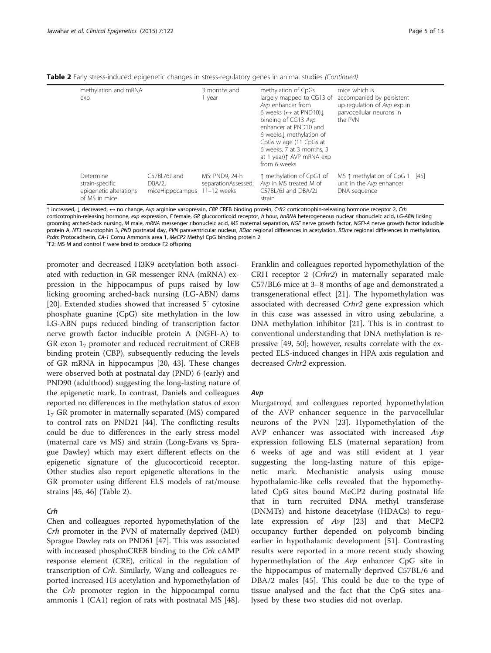| Table 2 Early stress-induced epigenetic changes in stress-regulatory genes in animal studies (Continued) |  |  |  |  |  |
|----------------------------------------------------------------------------------------------------------|--|--|--|--|--|
|----------------------------------------------------------------------------------------------------------|--|--|--|--|--|

| methylation and mRNA<br>exp                                             |                                                       | 3 months and<br>year                  | methylation of CpGs<br>largely mapped to CG13 of<br>Avp enhancer from<br>6 weeks $(\leftrightarrow$ at PND10).<br>binding of CG13 Avp<br>enhancer at PND10 and<br>6 weeks. L methylation of<br>CpGs w age (11 CpGs at<br>6 weeks, 7 at 3 months, 3<br>at 1 year)↑ AVP mRNA exp<br>from 6 weeks | mice which is<br>accompanied by persistent<br>up-regulation of Avp exp in<br>parvocellular neurons in<br>the PVN |  |
|-------------------------------------------------------------------------|-------------------------------------------------------|---------------------------------------|------------------------------------------------------------------------------------------------------------------------------------------------------------------------------------------------------------------------------------------------------------------------------------------------|------------------------------------------------------------------------------------------------------------------|--|
| Determine<br>strain-specific<br>epigenetic alterations<br>of MS in mice | C57BL/6J and<br>DBA/2J<br>miceHippocampus 11-12 weeks | MS: PND9, 24-h<br>separationAssessed: | ↑ methylation of CpG1 of<br>Avp in MS treated M of<br>C57BL/6J and DBA/2J<br>strain                                                                                                                                                                                                            | MS $\uparrow$ methylation of CpG 1 [45]<br>unit in the Avp enhancer<br>DNA sequence                              |  |

↑ increased, ↓ decreased, ↔ no change, Avp arginine vasopressin, CBP CREB binding protein, Crfr2 corticotrophin-releasing hormone receptor 2, Crh corticotrophin-releasing hormone, exp expression, F female, GR glucocorticoid receptor, h hour, hnRNA heterogeneous nuclear ribonucleic acid, LG-ABN licking grooming arched-back nursing, M male, mRNA messenger ribonucleic acid, MS maternal separation, NGF nerve growth factor, NGFI-A nerve growth factor inducible protein A, NT3 neurotophin 3, PND postnatal day, PVN paraventricular nucleus, RDac regional differences in acetylation, RDme regional differences in methylation, Pcdh: Protocadherin, CA-1 Cornu Ammonis area 1, MeCP2 Methyl CpG binding protein 2

<sup>a</sup>F2: MS M and control F were bred to produce F2 offspring

promoter and decreased H3K9 acetylation both associated with reduction in GR messenger RNA (mRNA) expression in the hippocampus of pups raised by low licking grooming arched-back nursing (LG-ABN) dams [[20\]](#page-11-0). Extended studies showed that increased 5′ cytosine phosphate guanine (CpG) site methylation in the low LG-ABN pups reduced binding of transcription factor nerve growth factor inducible protein A (NGFI-A) to GR exon  $1<sub>7</sub>$  promoter and reduced recruitment of CREB binding protein (CBP), subsequently reducing the levels of GR mRNA in hippocampus [[20, 43\]](#page-11-0). These changes were observed both at postnatal day (PND) 6 (early) and PND90 (adulthood) suggesting the long-lasting nature of the epigenetic mark. In contrast, Daniels and colleagues reported no differences in the methylation status of exon  $1<sub>7</sub>$  GR promoter in maternally separated (MS) compared to control rats on PND21 [[44](#page-11-0)]. The conflicting results could be due to differences in the early stress model (maternal care vs MS) and strain (Long-Evans vs Sprague Dawley) which may exert different effects on the epigenetic signature of the glucocorticoid receptor. Other studies also report epigenetic alterations in the GR promoter using different ELS models of rat/mouse strains [[45](#page-11-0), [46](#page-11-0)] (Table [2\)](#page-3-0).

### Crh

Chen and colleagues reported hypomethylation of the Crh promoter in the PVN of maternally deprived (MD) Sprague Dawley rats on PND61 [\[47](#page-11-0)]. This was associated with increased phosphoCREB binding to the Crh cAMP response element (CRE), critical in the regulation of transcription of Crh. Similarly, Wang and colleagues reported increased H3 acetylation and hypomethylation of the Crh promoter region in the hippocampal cornu ammonis 1 (CA1) region of rats with postnatal MS [\[48](#page-11-0)]. Franklin and colleagues reported hypomethylation of the CRH receptor 2 (Crhr2) in maternally separated male C57/BL6 mice at 3–8 months of age and demonstrated a transgenerational effect [[21\]](#page-11-0). The hypomethylation was associated with decreased Crhr2 gene expression which in this case was assessed in vitro using zebularine, a DNA methylation inhibitor [\[21\]](#page-11-0). This is in contrast to conventional understanding that DNA methylation is repressive [[49, 50](#page-11-0)]; however, results correlate with the expected ELS-induced changes in HPA axis regulation and decreased Crhr2 expression.

#### Avp

Murgatroyd and colleagues reported hypomethylation of the AVP enhancer sequence in the parvocellular neurons of the PVN [[23\]](#page-11-0). Hypomethylation of the AVP enhancer was associated with increased Avp expression following ELS (maternal separation) from 6 weeks of age and was still evident at 1 year suggesting the long-lasting nature of this epigenetic mark. Mechanistic analysis using mouse hypothalamic-like cells revealed that the hypomethylated CpG sites bound MeCP2 during postnatal life that in turn recruited DNA methyl transferase (DNMTs) and histone deacetylase (HDACs) to regulate expression of Avp [[23\]](#page-11-0) and that MeCP2 occupancy further depended on polycomb binding earlier in hypothalamic development [[51\]](#page-11-0). Contrasting results were reported in a more recent study showing hypermethylation of the Avp enhancer CpG site in the hippocampus of maternally deprived C57BL/6 and DBA/2 males [\[45](#page-11-0)]. This could be due to the type of tissue analysed and the fact that the CpG sites analysed by these two studies did not overlap.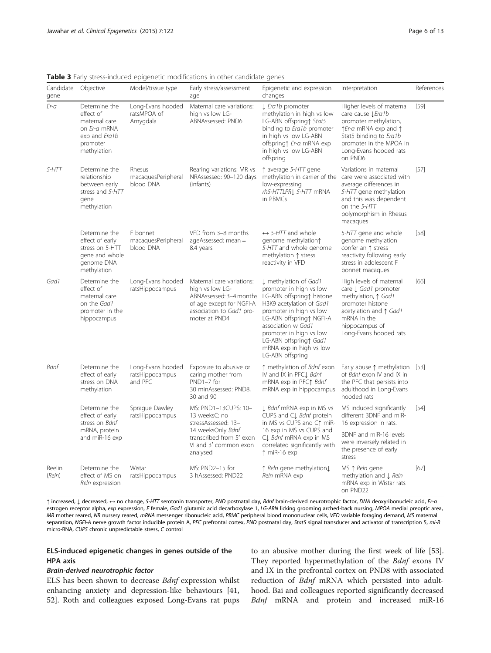<span id="page-5-0"></span>Table 3 Early stress-induced epigenetic modifications in other candidate genes

| Candidate<br>gene | Objective                                                                                               | Model/tissue type                               | Early stress/assessment<br>age                                                                                                                   | Epigenetic and expression<br>changes                                                                                                                                                                                                                                                       | Interpretation                                                                                                                                                                                                      | References |
|-------------------|---------------------------------------------------------------------------------------------------------|-------------------------------------------------|--------------------------------------------------------------------------------------------------------------------------------------------------|--------------------------------------------------------------------------------------------------------------------------------------------------------------------------------------------------------------------------------------------------------------------------------------------|---------------------------------------------------------------------------------------------------------------------------------------------------------------------------------------------------------------------|------------|
| $Er-a$            | Determine the<br>effect of<br>maternal care<br>on Er-a mRNA<br>exp and Era1b<br>promoter<br>methylation | Long-Evans hooded<br>ratsMPOA of<br>Amygdala    | Maternal care variations:<br>high vs low LG-<br>ABNAssessed: PND6                                                                                | L Era1b promoter<br>methylation in high vs low<br>LG-ABN offspring1 Stat5<br>binding to Era1b promoter<br>in high vs low LG-ABN<br>offspring† Er-a mRNA exp<br>in high vs low LG-ABN<br>offspring                                                                                          | Higher levels of maternal<br>care cause <i>LEra1b</i><br>promoter methylation,<br>$\uparrow$ Er-a mRNA exp and $\uparrow$<br>Stat5 binding to Era1b<br>promoter in the MPOA in<br>Long-Evans hooded rats<br>on PND6 | $[59]$     |
| $5 - HTT$         | Determine the<br>relationship<br>between early<br>stress and 5-HTT<br>gene<br>methylation               | Rhesus<br>macaquesPeripheral<br>blood DNA       | Rearing variations: MR vs<br>NRAssessed: 90-120 days<br>(infants)                                                                                | ↑ average 5-HTT gene<br>methylation in carrier of the<br>low-expressing<br>rh5-HTTLPR1 5-HTT mRNA<br>in PBMCs                                                                                                                                                                              | Variations in maternal<br>care were associated with<br>average differences in<br>5-HTT gene methylation<br>and this was dependent<br>on the 5-HTT<br>polymorphism in Rhesus<br>macaques                             | $[57]$     |
|                   | Determine the<br>effect of early<br>stress on 5-HTT<br>gene and whole<br>genome DNA<br>methylation      | F bonnet<br>macaquesPeripheral<br>blood DNA     | VFD from 3-8 months<br>ageAssessed: mean =<br>8.4 years                                                                                          | $\leftrightarrow$ 5-HTT and whole<br>genome methylation?<br>5-HTT and whole genome<br>methylation 1 stress<br>reactivity in VFD                                                                                                                                                            | 5-HTT gene and whole<br>genome methylation<br>confer an $\uparrow$ stress<br>reactivity following early<br>stress in adolescent F<br>bonnet macaques                                                                | $[58]$     |
| Gad1              | Determine the<br>effect of<br>maternal care<br>on the Gad1<br>promoter in the<br>hippocampus            | Long-Evans hooded<br>ratsHippocampus            | Maternal care variations:<br>high vs low LG-<br>ABNAssessed: 3-4 months<br>of age except for NGFI-A<br>association to Gad1 pro-<br>moter at PND4 | ↓ methylation of Gad1<br>promoter in high vs low<br>LG-ABN offspring† histone<br>H3K9 acetylation of Gad1<br>promoter in high vs low<br>LG-ABN offspring† NGFI-A<br>association w Gad1<br>promoter in high vs low<br>LG-ABN offspring† Gad1<br>mRNA exp in high vs low<br>LG-ABN offspring | High levels of maternal<br>care J Gad1 promoter<br>methylation, 1 Gad1<br>promoter histone<br>acetylation and 1 Gad1<br>mRNA in the<br>hippocampus of<br>Long-Evans hooded rats                                     | [66]       |
| Bdnf              | Determine the<br>effect of early<br>stress on DNA<br>methylation                                        | Long-Evans hooded<br>ratsHippocampus<br>and PFC | Exposure to abusive or<br>caring mother from<br>PND1-7 for<br>30 minAssessed: PND8,<br>30 and 90                                                 | ↑ methylation of <i>Bdnf</i> exon<br>IV and IX in PFCJ Bdnf<br>mRNA exp in PFC1 Bdnf<br>mRNA exp in hippocampus                                                                                                                                                                            | Early abuse $\uparrow$ methylation<br>of Bdnf exon IV and IX in<br>the PFC that persists into<br>adulthood in Long-Evans<br>hooded rats                                                                             | [53]       |
|                   | Determine the<br>effect of early<br>stress on Bdnf                                                      | Sprague Dawley<br>ratsHippocampus               | MS: PND1-13CUPS: 10-<br>13 weeksC: no<br>stressAssessed: 13-                                                                                     | J Bdnf mRNA exp in MS vs<br>CUPS and CJ Bdnf protein<br>in MS vs CUPS and C1 miR-                                                                                                                                                                                                          | MS induced significantly<br>different BDNF and miR-<br>16 expression in rats.                                                                                                                                       | $[54]$     |
|                   | mRNA, protein<br>and miR-16 exp                                                                         |                                                 | 14 weeksOnly Bdnf<br>transcribed from 5' exon<br>VI and 3' common exon<br>analysed                                                               | 16 exp in MS vs CUPS and<br>CJ <i>Bdnf</i> mRNA exp in MS<br>correlated significantly with<br>$\uparrow$ miR-16 exp                                                                                                                                                                        | BDNF and miR-16 levels<br>were inversely related in<br>the presence of early<br>stress                                                                                                                              |            |
| Reelin<br>(Reln)  | Determine the<br>effect of MS on<br>Reln expression                                                     | Wistar<br>ratsHippocampus                       | MS: PND2-15 for<br>3 hAssessed: PND22                                                                                                            | ↑ Reln gene methylation↓<br>Reln mRNA exp                                                                                                                                                                                                                                                  | MS $\uparrow$ Reln gene<br>methylation and <i>L Reln</i><br>mRNA exp in Wistar rats<br>on PND22                                                                                                                     | $[67]$     |

↑ increased, ↓ decreased, ↔ no change, 5-HTT serotonin transporter, PND postnatal day, Bdnf brain-derived neurotrophic factor, DNA deoxyribonucleic acid, Er-α estrogen receptor alpha, exp expression, F female, Gad1 glutamic acid decarboxylase 1, LG-ABN licking grooming arched-back nursing, MPOA medial preoptic area, MR mother reared, NR nursery reared, mRNA messenger ribonucleic acid, PBMC peripheral blood mononuclear cells, VFD variable foraging demand, MS maternal separation, NGFI-A nerve growth factor inducible protein A, PFC prefrontal cortex, PND postnatal day, Stat5 signal transducer and activator of transcription 5, mi-R micro-RNA, CUPS chronic unpredictable stress, C control

# ELS-induced epigenetic changes in genes outside of the HPA axis

# Brain-derived neurotrophic factor

ELS has been shown to decrease Bdnf expression whilst enhancing anxiety and depression-like behaviours [[41](#page-11-0), [52\]](#page-11-0). Roth and colleagues exposed Long-Evans rat pups to an abusive mother during the first week of life [\[53](#page-11-0)]. They reported hypermethylation of the *Bdnf* exons IV and IX in the prefrontal cortex on PND8 with associated reduction of *Bdnf* mRNA which persisted into adulthood. Bai and colleagues reported significantly decreased Bdnf mRNA and protein and increased miR-16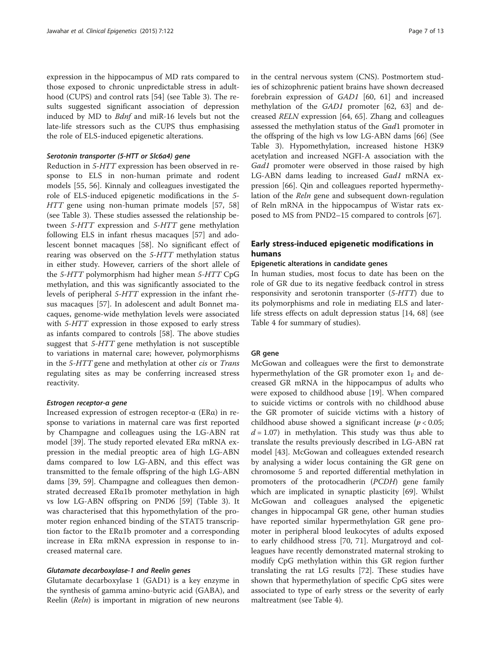expression in the hippocampus of MD rats compared to those exposed to chronic unpredictable stress in adulthood (CUPS) and control rats [[54](#page-11-0)] (see Table [3](#page-5-0)). The results suggested significant association of depression induced by MD to Bdnf and miR-16 levels but not the late-life stressors such as the CUPS thus emphasising the role of ELS-induced epigenetic alterations.

#### Serotonin transporter (5-HTT or Slc6a4) gene

Reduction in 5-HTT expression has been observed in response to ELS in non-human primate and rodent models [[55, 56](#page-11-0)]. Kinnaly and colleagues investigated the role of ELS-induced epigenetic modifications in the 5- HTT gene using non-human primate models [\[57](#page-11-0), [58](#page-11-0)] (see Table [3](#page-5-0)). These studies assessed the relationship between 5-HTT expression and 5-HTT gene methylation following ELS in infant rhesus macaques [\[57\]](#page-11-0) and adolescent bonnet macaques [\[58](#page-11-0)]. No significant effect of rearing was observed on the 5-HTT methylation status in either study. However, carriers of the short allele of the 5-HTT polymorphism had higher mean 5-HTT CpG methylation, and this was significantly associated to the levels of peripheral 5-HTT expression in the infant rhesus macaques [\[57](#page-11-0)]. In adolescent and adult Bonnet macaques, genome-wide methylation levels were associated with 5-HTT expression in those exposed to early stress as infants compared to controls [\[58](#page-11-0)]. The above studies suggest that 5-HTT gene methylation is not susceptible to variations in maternal care; however, polymorphisms in the 5-HTT gene and methylation at other cis or Trans regulating sites as may be conferring increased stress reactivity.

#### Estrogen receptor-α gene

Increased expression of estrogen receptor-α (ERα) in response to variations in maternal care was first reported by Champagne and colleagues using the LG-ABN rat model [[39](#page-11-0)]. The study reported elevated ERα mRNA expression in the medial preoptic area of high LG-ABN dams compared to low LG-ABN, and this effect was transmitted to the female offspring of the high LG-ABN dams [\[39, 59\]](#page-11-0). Champagne and colleagues then demonstrated decreased ERα1b promoter methylation in high vs low LG-ABN offspring on PND6 [[59\]](#page-11-0) (Table [3\)](#page-5-0). It was characterised that this hypomethylation of the promoter region enhanced binding of the STAT5 transcription factor to the ERα1b promoter and a corresponding increase in ERα mRNA expression in response to increased maternal care.

#### Glutamate decarboxylase-1 and Reelin genes

Glutamate decarboxylase 1 (GAD1) is a key enzyme in the synthesis of gamma amino-butyric acid (GABA), and Reelin (Reln) is important in migration of new neurons in the central nervous system (CNS). Postmortem studies of schizophrenic patient brains have shown decreased forebrain expression of GAD1 [[60, 61](#page-11-0)] and increased methylation of the GAD1 promoter [\[62,](#page-11-0) [63](#page-12-0)] and decreased RELN expression [\[64](#page-12-0), [65](#page-12-0)]. Zhang and colleagues assessed the methylation status of the Gad1 promoter in the offspring of the high vs low LG-ABN dams [\[66](#page-12-0)] (See Table [3\)](#page-5-0). Hypomethylation, increased histone H3K9 acetylation and increased NGFI-A association with the Gad1 promoter were observed in those raised by high LG-ABN dams leading to increased Gad1 mRNA expression [[66](#page-12-0)]. Qin and colleagues reported hypermethylation of the Reln gene and subsequent down-regulation of Reln mRNA in the hippocampus of Wistar rats exposed to MS from PND2–15 compared to controls [\[67](#page-12-0)].

# Early stress-induced epigenetic modifications in humans

#### Epigenetic alterations in candidate genes

In human studies, most focus to date has been on the role of GR due to its negative feedback control in stress responsivity and serotonin transporter (5-HTT) due to its polymorphisms and role in mediating ELS and laterlife stress effects on adult depression status [\[14,](#page-10-0) [68](#page-12-0)] (see Table [4](#page-7-0) for summary of studies).

#### GR gene

McGowan and colleagues were the first to demonstrate hypermethylation of the GR promoter exon  $1_F$  and decreased GR mRNA in the hippocampus of adults who were exposed to childhood abuse [\[19](#page-11-0)]. When compared to suicide victims or controls with no childhood abuse the GR promoter of suicide victims with a history of childhood abuse showed a significant increase ( $p < 0.05$ ;  $d = 1.07$ ) in methylation. This study was thus able to translate the results previously described in LG-ABN rat model [[43](#page-11-0)]. McGowan and colleagues extended research by analysing a wider locus containing the GR gene on chromosome 5 and reported differential methylation in promoters of the protocadherin (PCDH) gene family which are implicated in synaptic plasticity [[69\]](#page-12-0). Whilst McGowan and colleagues analysed the epigenetic changes in hippocampal GR gene, other human studies have reported similar hypermethylation GR gene promoter in peripheral blood leukocytes of adults exposed to early childhood stress [[70](#page-12-0), [71](#page-12-0)]. Murgatroyd and colleagues have recently demonstrated maternal stroking to modify CpG methylation within this GR region further translating the rat LG results [\[72](#page-12-0)]. These studies have shown that hypermethylation of specific CpG sites were associated to type of early stress or the severity of early maltreatment (see Table [4\)](#page-7-0).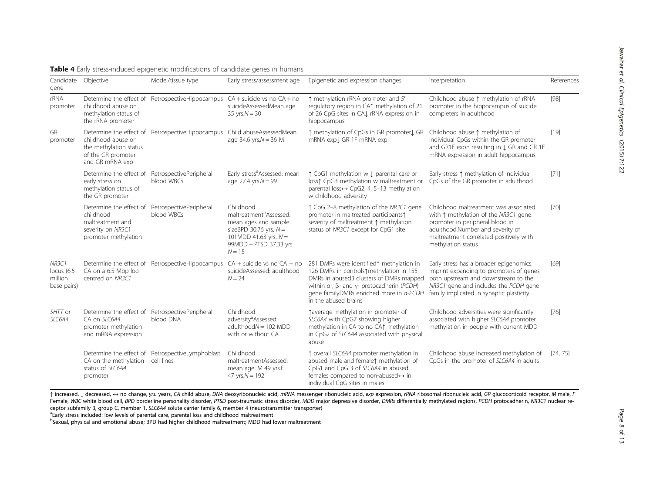| Candidate<br>gene                             | Objective                                                                                             | Model/tissue type                                                           | Early stress/assessment age                                                                                                                                            | Epigenetic and expression changes                                                                                                                                                                                                                                                 | Interpretation                                                                                                                                                                                                                 | References |
|-----------------------------------------------|-------------------------------------------------------------------------------------------------------|-----------------------------------------------------------------------------|------------------------------------------------------------------------------------------------------------------------------------------------------------------------|-----------------------------------------------------------------------------------------------------------------------------------------------------------------------------------------------------------------------------------------------------------------------------------|--------------------------------------------------------------------------------------------------------------------------------------------------------------------------------------------------------------------------------|------------|
| rRNA<br>promoter                              | childhood abuse on<br>methylation status of<br>the rRNA promoter                                      | Determine the effect of RetrospectiveHippocampus CA + suicide vs no CA + no | suicideAssessedMean age<br>35 yrs. $N = 30$                                                                                                                            | ↑ methylation rRNA promoter and 5'<br>regulatory region in CA1 methylation of 21<br>of 26 CpG sites in CAI rRNA expression in<br>hippocampus                                                                                                                                      | Childhood abuse 1 methylation of rRNA<br>promoter in the hippocampus of suicide<br>completers in adulthood                                                                                                                     | $[98]$     |
| GR<br>promoter                                | childhood abuse on<br>the methylation status<br>of the GR promoter<br>and GR mRNA exp                 | Determine the effect of RetrospectiveHippocampus Child abuseAssessedMean    | age 34.6 yrs. $N = 36$ M                                                                                                                                               | ↑ methylation of CpGs in GR promoter』 GR<br>mRNA exp.[ GR 1F mRNA exp                                                                                                                                                                                                             | Childhood abuse 1 methylation of<br>individual CpGs within the GR promoter<br>and GR1F exon resulting in Į GR and GR 1F<br>mRNA expression in adult hippocampus                                                                | $[19]$     |
|                                               | Determine the effect of<br>early stress on<br>methylation status of<br>the GR promoter                | RetrospectivePeripheral<br>blood WBCs                                       | Early stress <sup>a</sup> Assessed: mean<br>age 27.4 yrs. $N = 99$                                                                                                     | ↑ CpG1 methylation w ↓ parental care or<br>loss <sup>↑</sup> CpG3 methylation w maltreatment or<br>parental loss← CpG2, 4, 5-13 methylation<br>w childhood adversity                                                                                                              | Early stress 1 methylation of individual<br>CpGs of the GR promoter in adulthood                                                                                                                                               | $[71]$     |
|                                               | Determine the effect of<br>childhood<br>maltreatment and<br>severity on NR3C1<br>promoter methylation | RetrospectivePeripheral<br>blood WBCs                                       | Childhood<br>maltreatment <sup>b</sup> Assessed:<br>mean ages and sample<br>sizeBPD 30.76 yrs. $N =$<br>101MDD 41.63 yrs. $N =$<br>99MDD + PTSD 37.33 yrs.<br>$N = 15$ | ↑ CpG 2-8 methylation of the NR3C1 gene<br>promoter in maltreated participants?<br>severity of maltreatment 1 methylation<br>status of NR3C1 except for CpG1 site                                                                                                                 | Childhood maltreatment was associated<br>with $\uparrow$ methylation of the NR3C1 gene<br>promoter in peripheral blood in<br>adulthood.Number and severity of<br>maltreatment correlated positively with<br>methylation status | $[70]$     |
| NR3C1<br>locus (6.5<br>million<br>base pairs) | CA on a 6.5 Mbp loci<br>centred on NR3C1                                                              |                                                                             | Determine the effect of Retrospective Hippocampus $CA +$ suicide vs no $CA +$ no<br>suicideAssessed: adulthood<br>$N = 24$                                             | 281 DMRs were identified <sup>®</sup> methylation in<br>126 DMRs in controls†methylation in 155<br>DMRs in abused3 clusters of DMRs mapped<br>within $\alpha$ -, $\beta$ - and $\gamma$ - protocadherin (PCDH)<br>gene familyDMRs enriched more in a-PCDH<br>in the abused brains | Early stress has a broader epigenomics<br>imprint expanding to promoters of genes<br>both upstream and downstream to the<br>NR3C1 gene and includes the PCDH gene<br>family implicated in synaptic plasticity                  | [69]       |
| 5HTT or<br>SLC6A4                             | Determine the effect of<br>CA on SLC6A4<br>promoter methylation<br>and mRNA expression                | RetrospectivePeripheral<br>blood DNA                                        | Childhood<br>adversity <sup>a</sup> Assessed:<br>$adulthoodN = 102 MDD$<br>with or without CA                                                                          | taverage methylation in promoter of<br>SLC6A4 with CpG7 showing higher<br>methylation in CA to no CA1 methylation<br>in CpG2 of SLC6A4 associated with physical<br>abuse                                                                                                          | Childhood adversities were significantly<br>associated with higher SLC6A4 promoter<br>methylation in people with current MDD                                                                                                   | $[76]$     |
|                                               | Determine the effect of<br>CA on the methylation<br>status of SLC6A4<br>promoter                      | RetrospectiveLymphoblast<br>cell lines                                      | Childhood<br>maltreatmentAssessed:<br>mean age: M 49 yrs.F<br>47 yrs. $N = 192$                                                                                        | ↑ overall SLC6A4 promoter methylation in<br>abused male and female <sub>1</sub> methylation of<br>CpG1 and CpG 3 of SLC6A4 in abused<br>females compared to non-abused↔ in<br>individual CpG sites in males                                                                       | Childhood abuse increased methylation of<br>CpGs in the promoter of SLC6A4 in adults                                                                                                                                           | [74, 75]   |

# <span id="page-7-0"></span>Table 4 Early stress-induced epigenetic modifications of candidate genes in humans

↑ increased, ↓ decreased, ↔ no change, yrs. years, CA child abuse, DNA deoxyribonucleic acid, mRNA messenger ribonucleic acid, exp expression, rRNA ribosomal ribonucleic acid, GR glucocorticoid receptor, M male, F Female, WBC white blood cell, BPD borderline personality disorder, PTSD post-traumatic stress disorder, MDD major depressive disorder, DMRs differentially methylated regions, PCDH protocadherin, NR3C1 nuclear receptor subfamily 3, group C, member 1, SLC6A4 solute carrier family 6, member 4 (neurotransmitter transporter) <sup>a</sup> Early stress included: low levels of parental care, parental loss and childhood maltreatment

bSexual, physical and emotional abuse; BPD had higher childhood maltreatment; MDD had lower maltreatment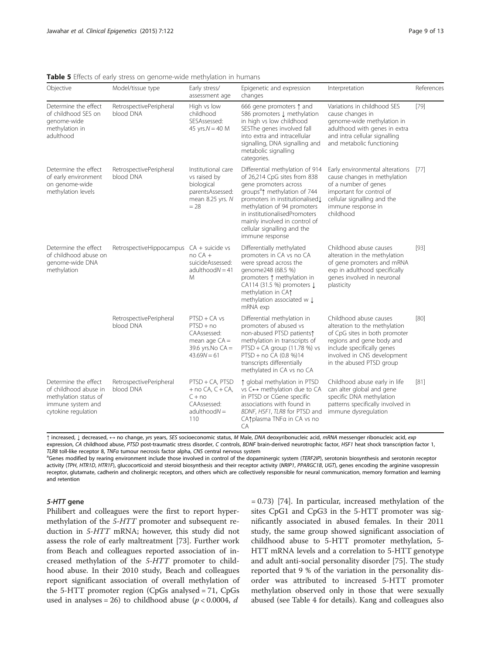<span id="page-8-0"></span>

|  |  |  |  |  |  |  | <b>Table 5</b> Effects of early stress on genome-wide methylation in humans |  |  |  |  |
|--|--|--|--|--|--|--|-----------------------------------------------------------------------------|--|--|--|--|
|--|--|--|--|--|--|--|-----------------------------------------------------------------------------|--|--|--|--|

| Objective                                                                                                          | Model/tissue type                        | Early stress/<br>assessment age                                                                         | Epigenetic and expression<br>changes                                                                                                                                                                                                                                                                                               | Interpretation                                                                                                                                                                                                 | <b>References</b> |
|--------------------------------------------------------------------------------------------------------------------|------------------------------------------|---------------------------------------------------------------------------------------------------------|------------------------------------------------------------------------------------------------------------------------------------------------------------------------------------------------------------------------------------------------------------------------------------------------------------------------------------|----------------------------------------------------------------------------------------------------------------------------------------------------------------------------------------------------------------|-------------------|
| Determine the effect<br>of childhood SES on<br>genome-wide<br>methylation in<br>adulthood                          | RetrospectivePeripheral<br>blood DNA     | High vs low<br>childhood<br>SESAssessed:<br>45 yrs. $N = 40$ M                                          | 666 gene promoters 1 and<br>586 promoters Į methylation<br>in high vs low childhood<br>SESThe genes involved fall<br>into extra and intracellular<br>signalling, DNA signalling and<br>metabolic signalling<br>categories.                                                                                                         | Variations in childhood SES<br>cause changes in<br>genome-wide methylation in<br>adulthood with genes in extra<br>and intra cellular signalling<br>and metabolic functioning                                   | $[79]$            |
| Determine the effect<br>of early environment<br>on genome-wide<br>methylation levels                               | RetrospectivePeripheral<br>blood DNA     | Institutional care<br>vs raised by<br>biological<br>parentsAssessed:<br>mean $8.25$ yrs. $N$<br>$= 28$  | Differential methylation of 914<br>of 26,214 CpG sites from 838<br>gene promoters across<br>groups <sup>a</sup> $\uparrow$ methylation of 744<br>promoters in institutionalised<br>methylation of 94 promoters<br>in institutionalisedPromoters<br>mainly involved in control of<br>cellular signalling and the<br>immune response | Early environmental alterations<br>cause changes in methylation<br>of a number of genes<br>important for control of<br>cellular signalling and the<br>immune response in<br>childhood                          | $[77]$            |
| Determine the effect<br>of childhood abuse on<br>genome-wide DNA<br>methylation                                    | RetrospectiveHippocampus CA + suicide vs | $no CA +$<br>suicideAssessed:<br>adulthood $N = 41$<br>M                                                | Differentially methylated<br>promoters in CA vs no CA<br>were spread across the<br>genome248 (68.5 %)<br>promoters 1 methylation in<br>CA114 (31.5 %) promoters $\downarrow$<br>methylation in CA1<br>methylation associated w J<br>mRNA exp                                                                                       | Childhood abuse causes<br>alteration in the methylation<br>of gene promoters and mRNA<br>exp in adulthood specifically<br>genes involved in neuronal<br>plasticity                                             | $[93]$            |
|                                                                                                                    | RetrospectivePeripheral<br>blood DNA     | $PTSD + CA$ vs<br>$PTSD + no$<br>CAAssessed:<br>mean age $CA =$<br>39.6 yrs. No $CA =$<br>$43.69N = 61$ | Differential methylation in<br>promoters of abused vs<br>non-abused PTSD patients1<br>methylation in transcripts of<br>PTSD + CA group (11.78 %) vs<br>PTSD + no CA (0.8 %)14<br>transcripts differentially<br>methylated in CA vs no CA                                                                                           | Childhood abuse causes<br>alteration to the methylation<br>of CpG sites in both promoter<br>regions and gene body and<br>include specifically genes<br>involved in CNS development<br>in the abused PTSD group | [80]              |
| Determine the effect<br>of childhood abuse in<br>methylation status of<br>immune system and<br>cytokine regulation | RetrospectivePeripheral<br>blood DNA     | PTSD + CA, PTSD<br>$+$ no CA, C + CA,<br>$C + no$<br>CAAssessed:<br>$adulthoodN =$<br>110               | ↑ global methylation in PTSD<br>vs C↔ methylation due to CA<br>in PTSD or CGene specific<br>associations with found in<br>BDNF, HSF1, TLR8 for PTSD and<br>CA↑ plasma TNFa in CA vs no<br>CA                                                                                                                                       | Childhood abuse early in life<br>can alter global and gene<br>specific DNA methylation<br>patterns specifically involved in<br>immune dysregulation                                                            | $[81]$            |

↑ increased, ↓ decreased, ↔ no change, yrs years, SES socioeconomic status, M Male, DNA deoxyribonucleic acid, mRNA messenger ribonucleic acid, exp expression, CA childhood abuse, PTSD post-traumatic stress disorder, C controls, BDNF brain-derived neurotrophic factor, HSF1 heat shock transcription factor 1, TLR8 toll-like receptor 8, TNFa tumour necrosis factor alpha, CNS central nervous system

<sup>a</sup>Genes modified by rearing environment include those involved in control of the dopaminergic system (TERF2IP), serotonin biosynthesis and serotonin receptor activity (TPH, HTR1D, HTR1F), glucocorticoid and steroid biosynthesis and their receptor activity (NRIP1, PPARGC1B, UGT), genes encoding the arginine vasopressin receptor, glutamate, cadherin and cholinergic receptors, and others which are collectively responsible for neural communication, memory formation and learning and retention

## 5-HTT gene

Philibert and colleagues were the first to report hypermethylation of the 5-HTT promoter and subsequent reduction in 5-HTT mRNA; however, this study did not assess the role of early maltreatment [[73\]](#page-12-0). Further work from Beach and colleagues reported association of increased methylation of the 5-HTT promoter to childhood abuse. In their 2010 study, Beach and colleagues report significant association of overall methylation of the 5-HTT promoter region (CpGs analysed = 71, CpGs used in analyses = 26) to childhood abuse ( $p < 0.0004$ , d

= 0.73) [[74\]](#page-12-0). In particular, increased methylation of the sites CpG1 and CpG3 in the 5-HTT promoter was significantly associated in abused females. In their 2011 study, the same group showed significant association of childhood abuse to 5-HTT promoter methylation, 5- HTT mRNA levels and a correlation to 5-HTT genotype and adult anti-social personality disorder [\[75](#page-12-0)]. The study reported that 9 % of the variation in the personality disorder was attributed to increased 5-HTT promoter methylation observed only in those that were sexually abused (see Table [4](#page-7-0) for details). Kang and colleagues also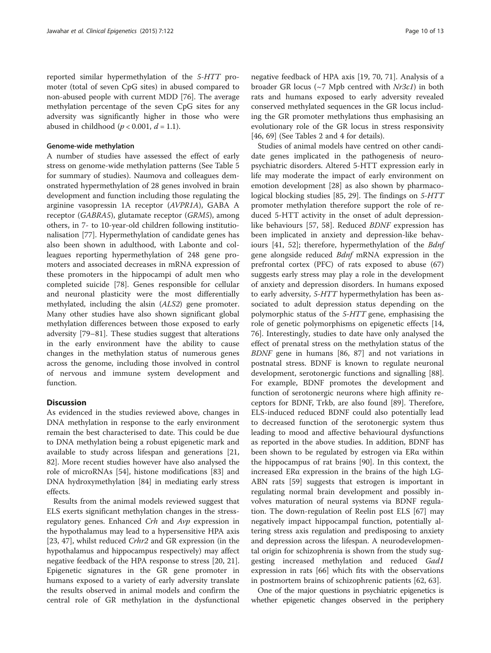reported similar hypermethylation of the 5-HTT promoter (total of seven CpG sites) in abused compared to non-abused people with current MDD [\[76](#page-12-0)]. The average methylation percentage of the seven CpG sites for any adversity was significantly higher in those who were abused in childhood ( $p < 0.001$ ,  $d = 1.1$ ).

#### Genome-wide methylation

A number of studies have assessed the effect of early stress on genome-wide methylation patterns (See Table [5](#page-8-0) for summary of studies). Naumova and colleagues demonstrated hypermethylation of 28 genes involved in brain development and function including those regulating the arginine vasopressin 1A receptor (AVPR1A), GABA A receptor (GABRA5), glutamate receptor (GRM5), among others, in 7- to 10-year-old children following institutionalisation [\[77](#page-12-0)]. Hypermethylation of candidate genes has also been shown in adulthood, with Labonte and colleagues reporting hypermethylation of 248 gene promoters and associated decreases in mRNA expression of these promoters in the hippocampi of adult men who completed suicide [\[78](#page-12-0)]. Genes responsible for cellular and neuronal plasticity were the most differentially methylated, including the alsin (ALS2) gene promoter. Many other studies have also shown significant global methylation differences between those exposed to early adversity [[79](#page-12-0)–[81](#page-12-0)]. These studies suggest that alterations in the early environment have the ability to cause changes in the methylation status of numerous genes across the genome, including those involved in control of nervous and immune system development and function.

#### **Discussion**

As evidenced in the studies reviewed above, changes in DNA methylation in response to the early environment remain the best characterised to date. This could be due to DNA methylation being a robust epigenetic mark and available to study across lifespan and generations [[21](#page-11-0), [82\]](#page-12-0). More recent studies however have also analysed the role of microRNAs [[54](#page-11-0)], histone modifications [[83](#page-12-0)] and DNA hydroxymethylation [\[84\]](#page-12-0) in mediating early stress effects.

Results from the animal models reviewed suggest that ELS exerts significant methylation changes in the stressregulatory genes. Enhanced Crh and Avp expression in the hypothalamus may lead to a hypersensitive HPA axis [[23, 47\]](#page-11-0), whilst reduced *Crhr*2 and GR expression (in the hypothalamus and hippocampus respectively) may affect negative feedback of the HPA response to stress [\[20](#page-11-0), [21](#page-11-0)]. Epigenetic signatures in the GR gene promoter in humans exposed to a variety of early adversity translate the results observed in animal models and confirm the central role of GR methylation in the dysfunctional

negative feedback of HPA axis [[19,](#page-11-0) [70, 71](#page-12-0)]. Analysis of a broader GR locus ( $\sim$ 7 Mpb centred with Nr3c1) in both rats and humans exposed to early adversity revealed conserved methylated sequences in the GR locus including the GR promoter methylations thus emphasising an evolutionary role of the GR locus in stress responsivity [[46,](#page-11-0) [69\]](#page-12-0) (See Tables [2](#page-3-0) and [4](#page-7-0) for details).

Studies of animal models have centred on other candidate genes implicated in the pathogenesis of neuropsychiatric disorders. Altered 5-HTT expression early in life may moderate the impact of early environment on emotion development [\[28\]](#page-11-0) as also shown by pharmacological blocking studies [\[85](#page-12-0), [29](#page-11-0)]. The findings on 5-HTT promoter methylation therefore support the role of reduced 5-HTT activity in the onset of adult depressionlike behaviours [\[57](#page-11-0), [58](#page-11-0)]. Reduced BDNF expression has been implicated in anxiety and depression-like behav-iours [[41, 52](#page-11-0)]; therefore, hypermethylation of the *Bdnf* gene alongside reduced Bdnf mRNA expression in the prefrontal cortex (PFC) of rats exposed to abuse (67) suggests early stress may play a role in the development of anxiety and depression disorders. In humans exposed to early adversity, 5-HTT hypermethylation has been associated to adult depression status depending on the polymorphic status of the 5-HTT gene, emphasising the role of genetic polymorphisms on epigenetic effects [[14](#page-10-0), [76\]](#page-12-0). Interestingly, studies to date have only analysed the effect of prenatal stress on the methylation status of the BDNF gene in humans [\[86](#page-12-0), [87](#page-12-0)] and not variations in postnatal stress. BDNF is known to regulate neuronal development, serotonergic functions and signalling [\[88](#page-12-0)]. For example, BDNF promotes the development and function of serotonergic neurons where high affinity receptors for BDNF, Trkb, are also found [\[89](#page-12-0)]. Therefore, ELS-induced reduced BDNF could also potentially lead to decreased function of the serotonergic system thus leading to mood and affective behavioural dysfunctions as reported in the above studies. In addition, BDNF has been shown to be regulated by estrogen via ERα within the hippocampus of rat brains [[90\]](#page-12-0). In this context, the increased ERα expression in the brains of the high LG-ABN rats [[59\]](#page-11-0) suggests that estrogen is important in regulating normal brain development and possibly involves maturation of neural systems via BDNF regulation. The down-regulation of Reelin post ELS [[67](#page-12-0)] may negatively impact hippocampal function, potentially altering stress axis regulation and predisposing to anxiety and depression across the lifespan. A neurodevelopmental origin for schizophrenia is shown from the study suggesting increased methylation and reduced Gad1 expression in rats [\[66](#page-12-0)] which fits with the observations in postmortem brains of schizophrenic patients [\[62,](#page-11-0) [63\]](#page-12-0).

One of the major questions in psychiatric epigenetics is whether epigenetic changes observed in the periphery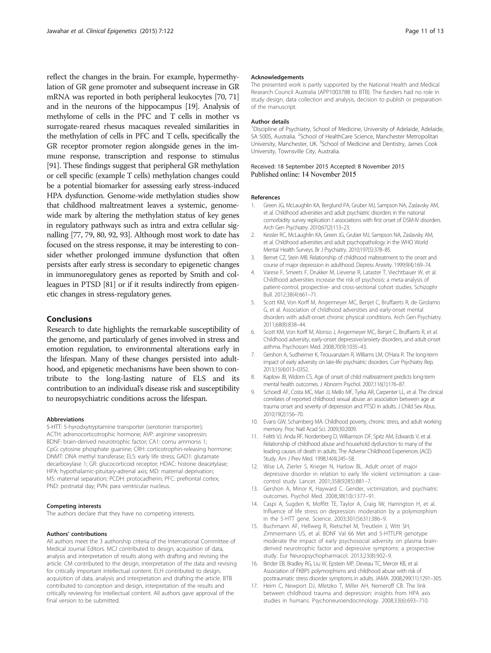<span id="page-10-0"></span>reflect the changes in the brain. For example, hypermethylation of GR gene promoter and subsequent increase in GR mRNA was reported in both peripheral leukocytes [\[70, 71](#page-12-0)] and in the neurons of the hippocampus [[19](#page-11-0)]. Analysis of methylome of cells in the PFC and T cells in mother vs surrogate-reared rhesus macaques revealed similarities in the methylation of cells in PFC and T cells, specifically the GR receptor promoter region alongside genes in the immune response, transcription and response to stimulus [[91](#page-12-0)]. These findings suggest that peripheral GR methylation or cell specific (example T cells) methylation changes could be a potential biomarker for assessing early stress-induced HPA dysfunction. Genome-wide methylation studies show that childhood maltreatment leaves a systemic, genomewide mark by altering the methylation status of key genes in regulatory pathways such as intra and extra cellular signalling [[77](#page-12-0), [79](#page-12-0), [80, 92, 93](#page-12-0)]. Although most work to date has focused on the stress response, it may be interesting to consider whether prolonged immune dysfunction that often persists after early stress is secondary to epigenetic changes in immunoregulatory genes as reported by Smith and colleagues in PTSD [\[81\]](#page-12-0) or if it results indirectly from epigenetic changes in stress-regulatory genes.

# Conclusions

Research to date highlights the remarkable susceptibility of the genome, and particularly of genes involved in stress and emotion regulation, to environmental alterations early in the lifespan. Many of these changes persisted into adulthood, and epigenetic mechanisms have been shown to contribute to the long-lasting nature of ELS and its contribution to an individual's disease risk and susceptibility to neuropsychiatric conditions across the lifespan.

#### Abbreviations

5-HTT: 5-hyrodxytryptamine transporter (serotonin transporter); ACTH: adrenocorticotrophic hormone; AVP: arginine vasopressin; BDNF: brain-derived neurotrophic factor; CA1: cornu ammonis 1; CpG: cytosine phosphate guanine; CRH: corticotrophin-releasing hormone; DNMT: DNA methyl transferase; ELS: early life stress; GAD1: glutamate decarboxylase 1; GR: glucocorticoid receptor; HDAC: histone deacetylase; HPA: hypothalamic-pituitary-adrenal axis; MD: maternal deprivation; MS: maternal separation; PCDH: protocadherin; PFC: prefrontal cortex; PND: postnatal day; PVN: para ventricular nucleus.

#### Competing interests

The authors declare that they have no competing interests.

#### Authors' contributions

All authors meet the 3 authorship criteria of the International Committee of Medical Journal Editors. MCJ contributed to design, acquisition of data, analysis and interpretation of results along with drafting and revising the article. CM contributed to the design, interpretation of the data and revising for critically important intellectual content. ELH contributed to design, acquisition of data, analysis and interpretation and drafting the article. BTB contributed to conception and design, interpretation of the results and critically reviewing for intellectual content. All authors gave approval of the final version to be submitted.

#### Acknowledgements

The presented work is partly supported by the National Health and Medical Research Council Australia (APP1003788 to BTB). The funders had no role in study design, data collection and analysis, decision to publish or preparation of the manuscript.

#### Author details

<sup>1</sup> Discipline of Psychiatry, School of Medicine, University of Adelaide, Adelaide, SA 5005, Australia. <sup>2</sup>School of HealthCare Science, Manchester Metropolitan University, Manchester, UK. <sup>3</sup>School of Medicine and Dentistry, James Cook University, Townsville City, Australia.

#### Received: 18 September 2015 Accepted: 8 November 2015 Published online: 14 November 2015

#### References

- 1. Green JG, McLaughlin KA, Berglund PA, Gruber MJ, Sampson NA, Zaslavsky AM, et al. Childhood adversities and adult psychiatric disorders in the national comorbidity survey replication I: associations with first onset of DSM-IV disorders. Arch Gen Psychiatry. 2010;67(2):113–23.
- 2. Kessler RC, McLaughlin KA, Green JG, Gruber MJ, Sampson NA, Zaslavsky AM, et al. Childhood adversities and adult psychopathology in the WHO World Mental Health Surveys. Br J Psychiatry. 2010;197(5):378–85.
- 3. Bernet CZ, Stein MB. Relationship of childhood maltreatment to the onset and course of major depression in adulthood. Depress Anxiety. 1999;9(4):169–74.
- 4. Varese F, Smeets F, Drukker M, Lieverse R, Lataster T, Viechtbauer W, et al. Childhood adversities increase the risk of psychosis: a meta-analysis of patient-control, prospective- and cross-sectional cohort studies. Schizophr Bull. 2012;38(4):661–71.
- 5. Scott KM, Von Korff M, Angermeyer MC, Benjet C, Bruffaerts R, de Girolamo G, et al. Association of childhood adversities and early-onset mental disorders with adult-onset chronic physical conditions. Arch Gen Psychiatry. 2011;68(8):838–44.
- 6. Scott KM, Von Korff M, Alonso J, Angermeyer MC, Benjet C, Bruffaerts R, et al. Childhood adversity, early-onset depressive/anxiety disorders, and adult-onset asthma. Psychosom Med. 2008;70(9):1035–43.
- 7. Gershon A, Sudheimer K, Tirouvanziam R, Williams LM, O'Hara R. The long-term impact of early adversity on late-life psychiatric disorders. Curr Psychiatry Rep. 2013;15(4):013–0352.
- 8. Kaplow JB, Widom CS. Age of onset of child maltreatment predicts long-term mental health outcomes. J Abnorm Psychol. 2007;116(1):176–87.
- 9. Schoedl AF, Costa MC, Mari JJ, Mello MF, Tyrka AR, Carpenter LL, et al. The clinical correlates of reported childhood sexual abuse: an association between age at trauma onset and severity of depression and PTSD in adults. J Child Sex Abus. 2010;19(2):156–70.
- 10. Evans GW, Schamberg MA. Childhood poverty, chronic stress, and adult working memory. Proc Natl Acad Sci. 2009;30:2009.
- 11. Felitti VJ, Anda RF, Nordenberg D, Williamson DF, Spitz AM, Edwards V, et al. Relationship of childhood abuse and household dysfunction to many of the leading causes of death in adults. The Adverse Childhood Experiences (ACE) Study. Am J Prev Med. 1998;14(4):245–58.
- 12. Wise LA, Zierler S, Krieger N, Harlow BL. Adult onset of major depressive disorder in relation to early life violent victimisation: a casecontrol study. Lancet. 2001;358(9285):881–7.
- 13. Gershon A, Minor K, Hayward C. Gender, victimization, and psychiatric outcomes. Psychol Med. 2008;38(10):1377–91.
- 14. Caspi A, Sugden K, Moffitt TE, Taylor A, Craig IW, Harrington H, et al. Influence of life stress on depression: moderation by a polymorphism in the 5-HTT gene. Science. 2003;301(5631):386–9.
- 15. Buchmann AF, Hellweg R, Rietschel M, Treutlein J, Witt SH, Zimmermann US, et al. BDNF Val 66 Met and 5-HTTLPR genotype moderate the impact of early psychosocial adversity on plasma brainderived neurotrophic factor and depressive symptoms: a prospective study. Eur Neuropsychopharmacol. 2013;23(8):902–9.
- 16. Binder EB, Bradley RG, Liu W, Epstein MP, Deveau TC, Mercer KB, et al. Association of FKBP5 polymorphisms and childhood abuse with risk of posttraumatic stress disorder symptoms in adults. JAMA. 2008;299(11):1291–305.
- 17. Heim C, Newport DJ, Mletzko T, Miller AH, Nemeroff CB. The link between childhood trauma and depression: insights from HPA axis studies in humans. Psychoneuroendocrinology. 2008;33(6):693–710.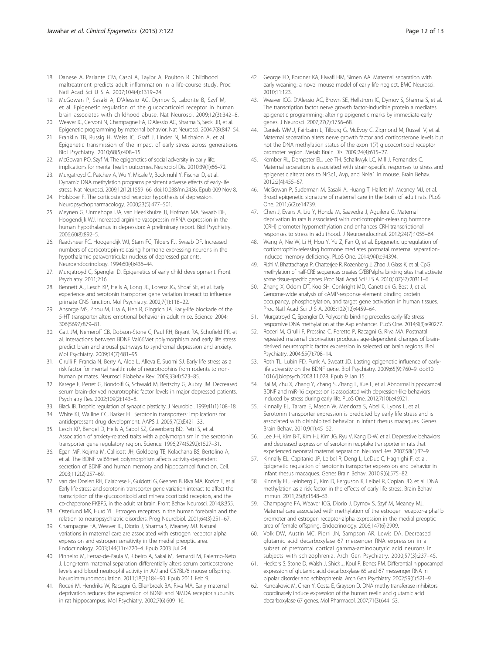- <span id="page-11-0"></span>18. Danese A, Pariante CM, Caspi A, Taylor A, Poulton R. Childhood maltreatment predicts adult inflammation in a life-course study. Proc Natl Acad Sci U S A. 2007;104(4):1319–24.
- 19. McGowan P, Sasaki A, D'Alessio AC, Dymov S, Labonte B, Szyf M, et al. Epigenetic regulation of the glucocorticoid receptor in human brain associates with childhood abuse. Nat Neurosci. 2009;12(3):342–8.
- 20. Weaver IC, Cervoni N, Champagne FA, D'Alessio AC, Sharma S, Seckl JR, et al. Epigenetic programming by maternal behavior. Nat Neurosci. 2004;7(8):847–54.
- 21. Franklin TB, Russig H, Weiss IC, Graff J, Linder N, Michalon A, et al. Epigenetic transmission of the impact of early stress across generations. Biol Psychiatry. 2010;68(5):408–15.
- 22. McGowan PO, Szyf M. The epigenetics of social adversity in early life: implications for mental health outcomes. Neurobiol Dis. 2010;39(1):66–72.
- 23. Murgatroyd C, Patchev A, Wu Y, Micale V, Bockmuhl Y, Fischer D, et al. Dynamic DNA methylation programs persistent adverse effects of early-life stress. Nat Neurosci. 2009;12(12):1559–66. doi:10.038/nn.2436. Epub 009 Nov 8.
- 24. Holsboer F. The corticosteroid receptor hypothesis of depression. Neuropsychopharmacology. 2000;23(5):477–501.
- 25. Meynen G, Unmehopa UA, van Heerikhuize JJ, Hofman MA, Swaab DF, Hoogendijk WJ. Increased arginine vasopressin mRNA expression in the human hypothalamus in depression: A preliminary report. Biol Psychiatry. 2006;60(8):892–5.
- 26. Raadsheer FC, Hoogendijk WJ, Stam FC, Tilders FJ, Swaab DF. Increased numbers of corticotropin-releasing hormone expressing neurons in the hypothalamic paraventricular nucleus of depressed patients. Neuroendocrinology. 1994;60(4):436–44.
- 27. Murgatroyd C, Spengler D. Epigenetics of early child development. Front Psychiatry. 2011;2:16.
- 28. Bennett AJ, Lesch KP, Heils A, Long JC, Lorenz JG, Shoaf SE, et al. Early experience and serotonin transporter gene variation interact to influence primate CNS function. Mol Psychiatry. 2002;7(1):118–22.
- 29. Ansorge MS, Zhou M, Lira A, Hen R, Gingrich JA. Early-life blockade of the 5-HT transporter alters emotional behavior in adult mice. Science. 2004; 306(5697):879–81.
- 30. Gatt JM, Nemeroff CB, Dobson-Stone C, Paul RH, Bryant RA, Schofield PR, et al. Interactions between BDNF Val66Met polymorphism and early life stress predict brain and arousal pathways to syndromal depression and anxiety. Mol Psychiatry. 2009;14(7):681–95.
- 31. Cirulli F, Francia N, Berry A, Aloe L, Alleva E, Suomi SJ. Early life stress as a risk factor for mental health: role of neurotrophins from rodents to nonhuman primates. Neurosci Biobehav Rev. 2009;33(4):573–85.
- 32. Karege F, Perret G, Bondolfi G, Schwald M, Bertschy G, Aubry JM. Decreased serum brain-derived neurotrophic factor levels in major depressed patients. Psychiatry Res. 2002;109(2):143–8.
- 33. Black IB. Trophic regulation of synaptic plasticity. J Neurobiol. 1999;41(1):108–18.
- 34. White KJ, Walline CC, Barker EL. Serotonin transporters: implications for antidepressant drug development. AAPS J. 2005;7(2):E421–33.
- 35. Lesch KP, Bengel D, Heils A, Sabol SZ, Greenberg BD, Petri S, et al. Association of anxiety-related traits with a polymorphism in the serotonin transporter gene regulatory region. Science. 1996;274(5292):1527–31.
- 36. Egan MF, Kojima M, Callicott JH, Goldberg TE, Kolachana BS, Bertolino A, et al. The BDNF val66met polymorphism affects activity-dependent secretion of BDNF and human memory and hippocampal function. Cell. 2003;112(2):257–69.
- 37. van der Doelen RH, Calabrese F, Guidotti G, Geenen B, Riva MA, Kozicz T, et al. Early life stress and serotonin transporter gene variation interact to affect the transcription of the glucocorticoid and mineralocorticoid receptors, and the co-chaperone FKBP5, in the adult rat brain. Front Behav Neurosci. 2014;8:355.
- 38. Osterlund MK, Hurd YL. Estrogen receptors in the human forebrain and the relation to neuropsychiatric disorders. Prog Neurobiol. 2001;64(3):251–67.
- 39. Champagne FA, Weaver IC, Diorio J, Sharma S, Meaney MJ. Natural variations in maternal care are associated with estrogen receptor alpha expression and estrogen sensitivity in the medial preoptic area. Endocrinology. 2003;144(11):4720–4. Epub 2003 Jul 24.
- 40. Pinheiro M, Ferraz-de-Paula V, Ribeiro A, Sakai M, Bernardi M, Palermo-Neto J. Long-term maternal separation differentially alters serum corticosterone levels and blood neutrophil activity in A/J and C57BL/6 mouse offspring. Neuroimmunomodulation. 2011;18(3):184–90. Epub 2011 Feb 9.
- 41. Roceri M, Hendriks W, Racagni G, Ellenbroek BA, Riva MA. Early maternal deprivation reduces the expression of BDNF and NMDA receptor subunits in rat hippocampus. Mol Psychiatry. 2002;7(6):609–16.
- 42. George ED, Bordner KA, Elwafi HM, Simen AA. Maternal separation with early weaning: a novel mouse model of early life neglect. BMC Neurosci. 2010;11:123.
- 43. Weaver ICG, D'Alessio AC, Brown SE, Hellstrom IC, Dymov S, Sharma S, et al. The transcription factor nerve growth factor-inducible protein a mediates epigenetic programming: altering epigenetic marks by immediate-early genes. J Neurosci. 2007;27(7):1756–68.
- 44. Daniels WMU, Fairbairn L, Tilburg G, McEvoy C, Zigmond M, Russell V, et al. Maternal separation alters nerve growth factor and corticosterone levels but not the DNA methylation status of the exon 1(7) glucocorticoid receptor promoter region. Metab Brain Dis. 2009;24(4):615–27.
- 45. Kember RL, Dempster EL, Lee TH, Schalkwyk LC, Mill J, Fernandes C. Maternal separation is associated with strain-specific responses to stress and epigenetic alterations to Nr3c1, Avp, and Nr4a1 in mouse. Brain Behav. 2012;2(4):455–67.
- 46. McGowan P, Suderman M, Sasaki A, Huang T, Hallett M, Meaney MJ, et al. Broad epigenetic signature of maternal care in the brain of adult rats. PLoS One. 2011;6(2):e14739.
- 47. Chen J, Evans A, Liu Y, Honda M, Saavedra J, Aguilera G. Maternal deprivation in rats is associated with corticotrophin-releasing hormone (CRH) promoter hypomethylation and enhances CRH transcriptional responses to stress in adulthood. J Neuroendocrinol. 2012;24(7):1055–64.
- 48. Wang A, Nie W, Li H, Hou Y, Yu Z, Fan Q, et al. Epigenetic upregulation of corticotrophin-releasing hormone mediates postnatal maternal separationinduced memory deficiency. PLoS One. 2014;9(4):e94394.
- 49. Rishi V, Bhattacharya P, Chatterjee R, Rozenberg J, Zhao J, Glass K, et al. CpG methylation of half-CRE sequences creates C/EBPalpha binding sites that activate some tissue-specific genes. Proc Natl Acad Sci U S A. 2010;107(47):20311–6.
- 50. Zhang X, Odom DT, Koo SH, Conkright MD, Canettieri G, Best J, et al. Genome-wide analysis of cAMP-response element binding protein occupancy, phosphorylation, and target gene activation in human tissues. Proc Natl Acad Sci U S A. 2005;102(12):4459–64.
- 51. Murgatroyd C, Spengler D. Polycomb binding precedes early-life stress responsive DNA methylation at the Avp enhancer. PLoS One. 2014;9(3):e90277.
- 52. Roceri M, Cirulli F, Pressina C, Peretto P, Racagni G, Riva MA. Postnatal repeated maternal deprivation produces age-dependent changes of brainderived neurotrophic factor expression in selected rat brain regions. Biol Psychiatry. 2004;55(7):708–14.
- 53. Roth TL, Lubin FD, Funk A, Sweatt JD. Lasting epigenetic influence of earlylife adversity on the BDNF gene. Biol Psychiatry. 2009;65(9):760–9. doi[:10.](http://dx.doi.org/10.1016/j.biopsych.2008.11.028.%20Epub%209%20Jan%2015) [1016/j.biopsych.2008.11.028. Epub 9 Jan 15](http://dx.doi.org/10.1016/j.biopsych.2008.11.028.%20Epub%209%20Jan%2015).
- 54. Bai M, Zhu X, Zhang Y, Zhang S, Zhang L, Xue L, et al. Abnormal hippocampal BDNF and miR-16 expression is associated with depression-like behaviors induced by stress during early life. PLoS One. 2012;7(10):e46921.
- 55. Kinnally EL, Tarara E, Mason W, Mendoza S, Abel K, Lyons L, et al. Serotonin transporter expression is predicted by early life stress and is associated with disinhibited behavior in infant rhesus macaques. Genes Brain Behav. 2010;9(1):45–52.
- 56. Lee J-H, Kim B-T, Kim HJ, Kim JG, Ryu V, Kang D-W, et al. Depressive behaviors and decreased expression of serotonin reuptake transporter in rats that experienced neonatal maternal separation. Neurosci Res. 2007;58(1):32–9.
- 57. Kinnally EL, Capitanio JP, Leibel R, Deng L, LeDuc C, Haghighi F, et al. Epigenetic regulation of serotonin transporter expression and behavior in infant rhesus macaques. Genes Brain Behav. 2010;9(6):575–82.
- 58. Kinnally EL, Feinberg C, Kim D, Ferguson K, Leibel R, Coplan JD, et al. DNA methylation as a risk factor in the effects of early life stress. Brain Behav Immun. 2011;25(8):1548–53.
- 59. Champagne FA, Weaver ICG, Diorio J, Dymov S, Szyf M, Meaney MJ. Maternal care associated with methylation of the estrogen receptor-alpha1b promoter and estrogen receptor-alpha expression in the medial preoptic area of female offspring. Endocrinology. 2006;147(6):2909.
- 60. Volk DW, Austin MC, Pierri JN, Sampson AR, Lewis DA. Decreased glutamic acid decarboxylase 67 messenger RNA expression in a subset of prefrontal cortical gamma-aminobutyric acid neurons in subjects with schizophrenia. Arch Gen Psychiatry. 2000;57(3):237–45.
- 61. Heckers S, Stone D, Walsh J, Shick J, Koul P, Benes FM. Differential hippocampal expression of glutamic acid decarboxylase 65 and 67 messenger RNA in bipolar disorder and schizophrenia. Arch Gen Psychiatry. 2002;59(6):521–9.
- 62. Kundakovic M, Chen Y, Costa E, Grayson D. DNA methyltransferase inhibitors coordinately induce expression of the human reelin and glutamic acid decarboxylase 67 genes. Mol Pharmacol. 2007;71(3):644–53.